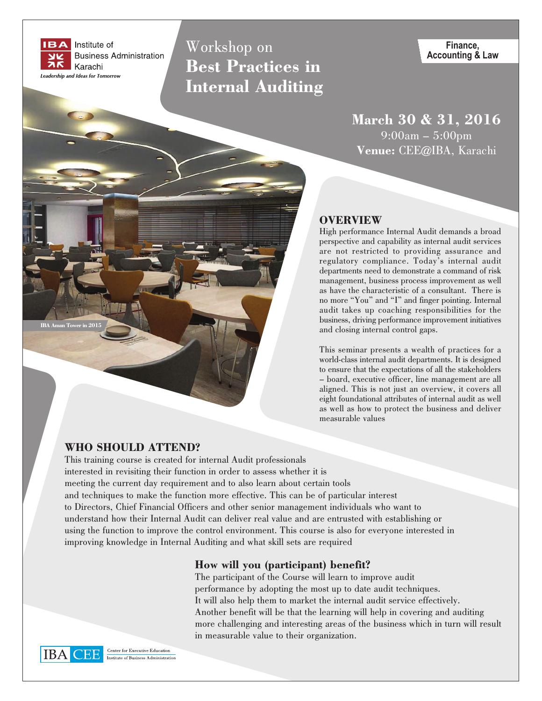

Workshop on **Best Practices in Internal Auditing** 

Finance, **Accounting & Law** 

March 30 & 31, 2016  $9:00am - 5:00pm$ Venue: CEE@IBA, Karachi

### **OVERVIEW**

High performance Internal Audit demands a broad perspective and capability as internal audit services are not restricted to providing assurance and regulatory compliance. Today's internal audit departments need to demonstrate a command of risk management, business process improvement as well as have the characteristic of a consultant. There is no more "You" and "I" and finger pointing. Internal audit takes up coaching responsibilities for the business, driving performance improvement initiatives and closing internal control gaps.

This seminar presents a wealth of practices for a world-class internal audit departments. It is designed to ensure that the expectations of all the stakeholders - board, executive officer, line management are all aligned. This is not just an overview, it covers all eight foundational attributes of internal audit as well as well as how to protect the business and deliver measurable values

## **WHO SHOULD ATTEND?**

This training course is created for internal Audit professionals interested in revisiting their function in order to assess whether it is meeting the current day requirement and to also learn about certain tools and techniques to make the function more effective. This can be of particular interest to Directors, Chief Financial Officers and other senior management individuals who want to understand how their Internal Audit can deliver real value and are entrusted with establishing or using the function to improve the control environment. This course is also for everyone interested in improving knowledge in Internal Auditing and what skill sets are required

### How will you (participant) benefit?

The participant of the Course will learn to improve audit performance by adopting the most up to date audit techniques. It will also help them to market the internal audit service effectively. Another benefit will be that the learning will help in covering and auditing more challenging and interesting areas of the business which in turn will result in measurable value to their organization.